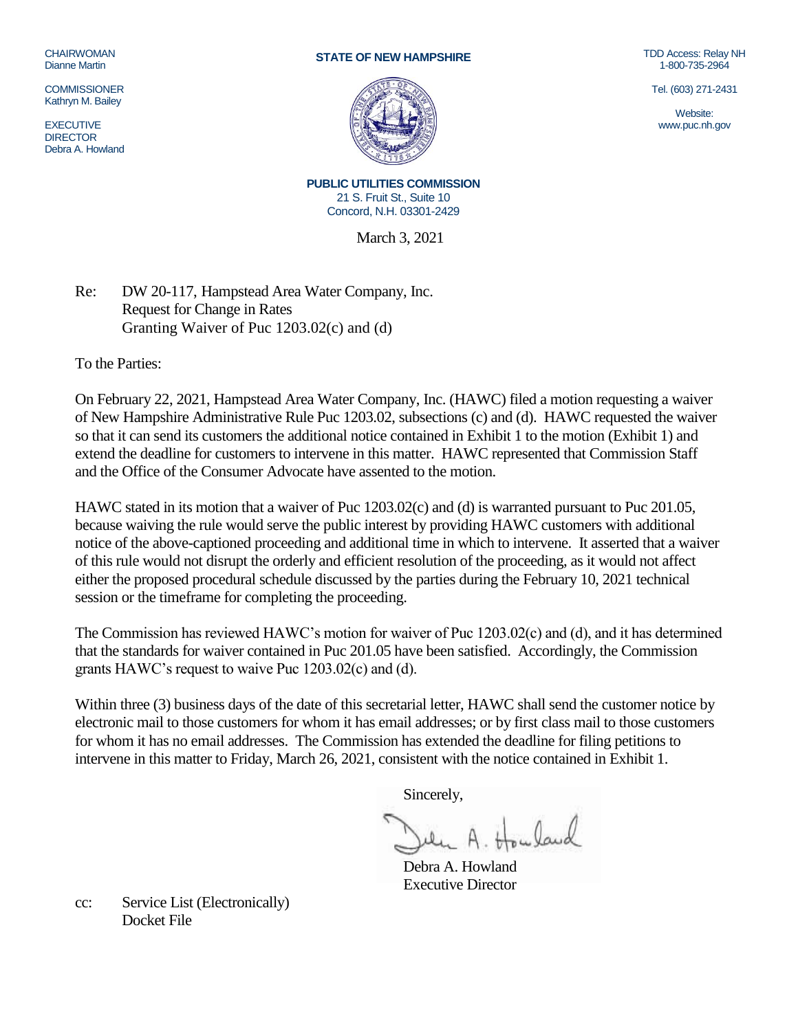## **CHAIRWOMAN** Dianne Martin

**COMMISSIONER** Kathryn M. Bailey

**EXECUTIVE DIRECTOR** Debra A. Howland

## **STATE OF NEW HAMPSHIRE**



TDD Access: Relay NH 1-800-735-2964

Tel. (603) 271-2431

Website: www.puc.nh.gov

**PUBLIC UTILITIES COMMISSION** 21 S. Fruit St., Suite 10 Concord, N.H. 03301-2429

March 3, 2021

Re: DW 20-117, Hampstead Area Water Company, Inc. Request for Change in Rates Granting Waiver of Puc 1203.02(c) and (d)

To the Parties:

On February 22, 2021, Hampstead Area Water Company, Inc. (HAWC) filed a motion requesting a waiver of New Hampshire Administrative Rule Puc 1203.02, subsections (c) and (d). HAWC requested the waiver so that it can send its customers the additional notice contained in Exhibit 1 to the motion (Exhibit 1) and extend the deadline for customers to intervene in this matter. HAWC represented that Commission Staff and the Office of the Consumer Advocate have assented to the motion.

HAWC stated in its motion that a waiver of Puc 1203.02(c) and (d) is warranted pursuant to Puc 201.05, because waiving the rule would serve the public interest by providing HAWC customers with additional notice of the above-captioned proceeding and additional time in which to intervene. It asserted that a waiver of this rule would not disrupt the orderly and efficient resolution of the proceeding, as it would not affect either the proposed procedural schedule discussed by the parties during the February 10, 2021 technical session or the timeframe for completing the proceeding.

The Commission has reviewed HAWC's motion for waiver of Puc 1203.02(c) and (d), and it has determined that the standards for waiver contained in Puc 201.05 have been satisfied. Accordingly, the Commission grants HAWC's request to waive Puc 1203.02(c) and (d).

Within three (3) business days of the date of this secretarial letter, HAWC shall send the customer notice by electronic mail to those customers for whom it has email addresses; or by first class mail to those customers for whom it has no email addresses. The Commission has extended the deadline for filing petitions to intervene in this matter to Friday, March 26, 2021, consistent with the notice contained in Exhibit 1.

Sincerely,

Debra A. Howland Executive Director

cc: Service List (Electronically) Docket File